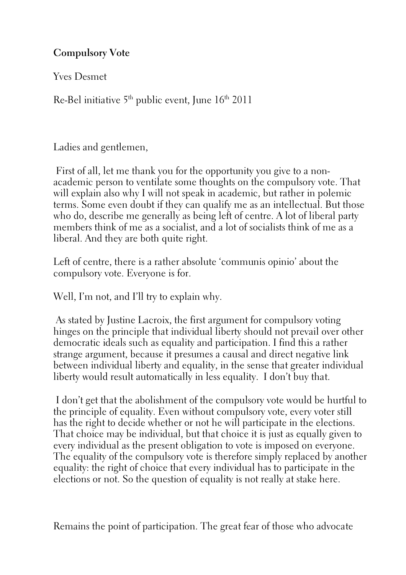**Compulsory Vote**

Yves Desmet

Re-Bel initiative  $5^{th}$  public event, June  $16^{th}$  2011

Ladies and gentlemen,

First of all, let me thank you for the opportunity you give to a nonacademic person to ventilate some thoughts on the compulsory vote. That will explain also why I will not speak in academic, but rather in polemic terms. Some even doubt if they can qualify me as an intellectual. But those who do, describe me generally as being left of centre. A lot of liberal party members think of me as a socialist, and a lot of socialists think of me as a liberal. And they are both quite right.

Left of centre, there is a rather absolute 'communis opinio' about the compulsory vote. Everyone is for.

Well, I'm not, and I'll try to explain why.

As stated by Justine Lacroix, the first argument for compulsory voting hinges on the principle that individual liberty should not prevail over other democratic ideals such as equality and participation. I find this a rather strange argument, because it presumes a causal and direct negative link between individual liberty and equality, in the sense that greater individual liberty would result automatically in less equality. I don't buy that.

I don't get that the abolishment of the compulsory vote would be hurtful to the principle of equality. Even without compulsory vote, every voter still has the right to decide whether or not he will participate in the elections. That choice may be individual, but that choice it is just as equally given to every individual as the present obligation to vote is imposed on everyone. The equality of the compulsory vote is therefore simply replaced by another equality: the right of choice that every individual has to participate in the elections or not. So the question of equality is not really at stake here.

Remains the point of participation. The great fear of those who advocate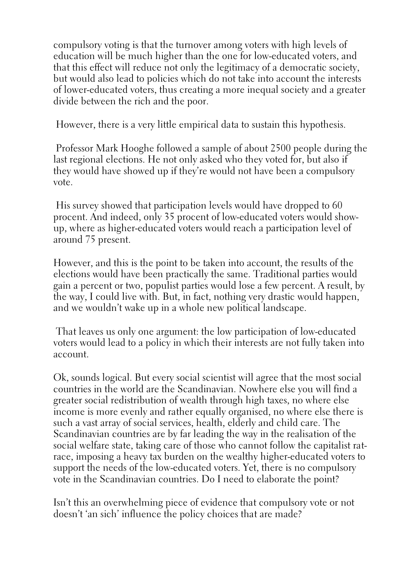compulsory voting is that the turnover among voters with high levels of education will be much higher than the one for low-educated voters, and that this effect will reduce not only the legitimacy of a democratic society, but would also lead to policies which do not take into account the interests of lower-educated voters, thus creating a more inequal society and a greater divide between the rich and the poor.

However, there is a very little empirical data to sustain this hypothesis.

Professor Mark Hooghe followed a sample of about 2500 people during the last regional elections. He not only asked who they voted for, but also if they would have showed up if they're would not have been a compulsory vote.

His survey showed that participation levels would have dropped to 60 procent. And indeed, only 35 procent of low-educated voters would showup, where as higher-educated voters would reach a participation level of around 75 present.

However, and this is the point to be taken into account, the results of the elections would have been practically the same. Traditional parties would gain a percent or two, populist parties would lose a few percent. A result, by the way, I could live with. But, in fact, nothing very drastic would happen, and we wouldn't wake up in a whole new political landscape.

That leaves us only one argument: the low participation of low-educated voters would lead to a policy in which their interests are not fully taken into account.

Ok, sounds logical. But every social scientist will agree that the most social countries in the world are the Scandinavian. Nowhere else you will find a greater social redistribution of wealth through high taxes, no where else income is more evenly and rather equally organised, no where else there is such a vast array of social services, health, elderly and child care. The Scandinavian countries are by far leading the way in the realisation of the social welfare state, taking care of those who cannot follow the capitalist ratrace, imposing a heavy tax burden on the wealthy higher-educated voters to support the needs of the low-educated voters. Yet, there is no compulsory vote in the Scandinavian countries. Do I need to elaborate the point?

Isn't this an overwhelming piece of evidence that compulsory vote or not doesn't 'an sich' influence the policy choices that are made?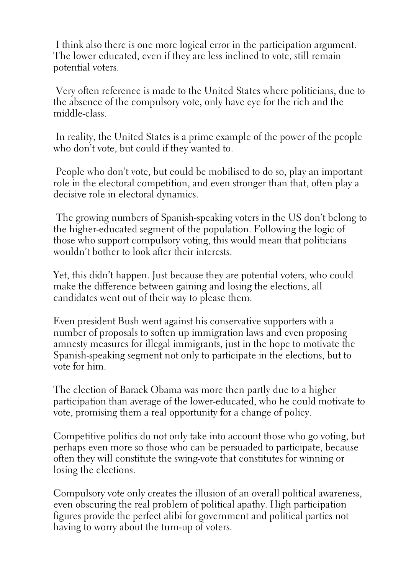I think also there is one more logical error in the participation argument. The lower educated, even if they are less inclined to vote, still remain potential voters.

Very often reference is made to the United States where politicians, due to the absence of the compulsory vote, only have eye for the rich and the middle-class.

In reality, the United States is a prime example of the power of the people who don't vote, but could if they wanted to.

People who don't vote, but could be mobilised to do so, play an important role in the electoral competition, and even stronger than that, often play a decisive role in electoral dynamics.

The growing numbers of Spanish-speaking voters in the US don't belong to the higher-educated segment of the population. Following the logic of those who support compulsory voting, this would mean that politicians wouldn't bother to look after their interests.

Yet, this didn't happen. Just because they are potential voters, who could make the difference between gaining and losing the elections, all candidates went out of their way to please them.

Even president Bush went against his conservative supporters with a number of proposals to soften up immigration laws and even proposing amnesty measures for illegal immigrants, just in the hope to motivate the Spanish-speaking segment not only to participate in the elections, but to vote for him.

The election of Barack Obama was more then partly due to a higher participation than average of the lower-educated, who he could motivate to vote, promising them a real opportunity for a change of policy.

Competitive politics do not only take into account those who go voting, but perhaps even more so those who can be persuaded to participate, because often they will constitute the swing-vote that constitutes for winning or losing the elections.

Compulsory vote only creates the illusion of an overall political awareness, even obscuring the real problem of political apathy. High participation figures provide the perfect alibi for government and political parties not having to worry about the turn-up of voters.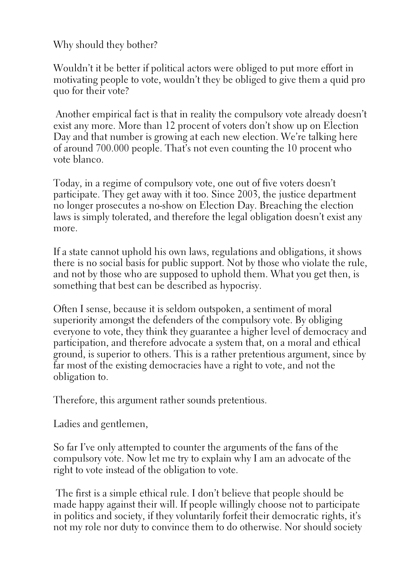Why should they bother?

Wouldn't it be better if political actors were obliged to put more effort in motivating people to vote, wouldn't they be obliged to give them a quid pro quo for their vote?

Another empirical fact is that in reality the compulsory vote already doesn't exist any more. More than 12 procent of voters don't show up on Election Day and that number is growing at each new election. We're talking here of around 700.000 people. That's not even counting the 10 procent who vote blanco.

Today, in a regime of compulsory vote, one out of five voters doesn't participate. They get away with it too. Since 2003, the justice department no longer prosecutes a no-show on Election Day. Breaching the election laws is simply tolerated, and therefore the legal obligation doesn't exist any more.

If a state cannot uphold his own laws, regulations and obligations, it shows there is no social basis for public support. Not by those who violate the rule, and not by those who are supposed to uphold them. What you get then, is something that best can be described as hypocrisy.

Often I sense, because it is seldom outspoken, a sentiment of moral superiority amongst the defenders of the compulsory vote. By obliging everyone to vote, they think they guarantee a higher level of democracy and participation, and therefore advocate a system that, on a moral and ethical ground, is superior to others. This is a rather pretentious argument, since by far most of the existing democracies have a right to vote, and not the obligation to.

Therefore, this argument rather sounds pretentious.

Ladies and gentlemen,

So far I've only attempted to counter the arguments of the fans of the compulsory vote. Now let me try to explain why I am an advocate of the right to vote instead of the obligation to vote.

The first is a simple ethical rule. I don't believe that people should be made happy against their will. If people willingly choose not to participate in politics and society, if they voluntarily forfeit their democratic rights, it's not my role nor duty to convince them to do otherwise. Nor should society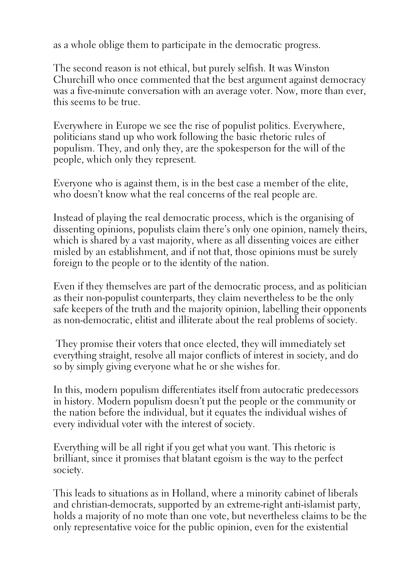as a whole oblige them to participate in the democratic progress.

The second reason is not ethical, but purely selfish. It was Winston Churchill who once commented that the best argument against democracy was a five-minute conversation with an average voter. Now, more than ever, this seems to be true.

Everywhere in Europe we see the rise of populist politics. Everywhere, politicians stand up who work following the basic rhetoric rules of populism. They, and only they, are the spokesperson for the will of the people, which only they represent.

Everyone who is against them, is in the best case a member of the elite, who doesn't know what the real concerns of the real people are.

Instead of playing the real democratic process, which is the organising of dissenting opinions, populists claim there's only one opinion, namely theirs, which is shared by a vast majority, where as all dissenting voices are either misled by an establishment, and if not that, those opinions must be surely foreign to the people or to the identity of the nation.

Even if they themselves are part of the democratic process, and as politician as their non-populist counterparts, they claim nevertheless to be the only safe keepers of the truth and the majority opinion, labelling their opponents as non-democratic, elitist and illiterate about the real problems of society.

They promise their voters that once elected, they will immediately set everything straight, resolve all major conflicts of interest in society, and do so by simply giving everyone what he or she wishes for.

In this, modern populism differentiates itself from autocratic predecessors in history. Modern populism doesn't put the people or the community or the nation before the individual, but it equates the individual wishes of every individual voter with the interest of society.

Everything will be all right if you get what you want. This rhetoric is brilliant, since it promises that blatant egoism is the way to the perfect society.

This leads to situations as in Holland, where a minority cabinet of liberals and christian-democrats, supported by an extreme-right anti-islamist party, holds a majority of no mote than one vote, but nevertheless claims to be the only representative voice for the public opinion, even for the existential